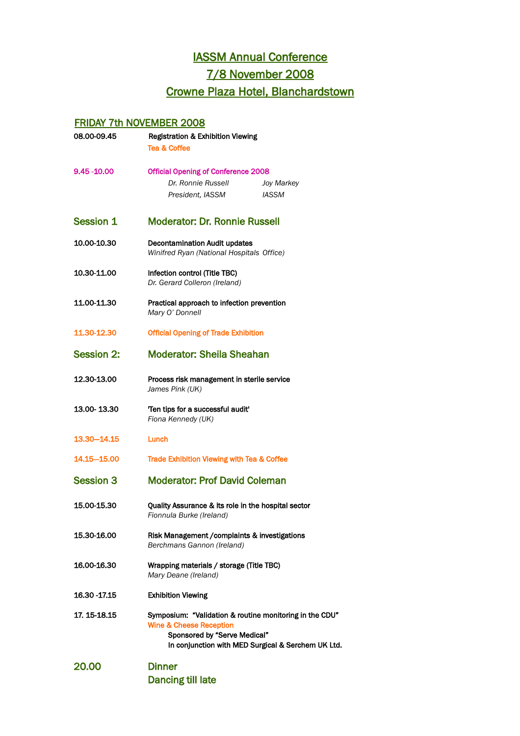## **IASSM Annual Conference**

7/8 November 2008

## Crowne Plaza Hotel, Blanchardstown

## FRIDAY 7th NOVEMBER 2008

| 08.00-09.45       | <b>Registration &amp; Exhibition Viewing</b><br><b>Tea &amp; Coffee</b>                                                                                                             |                            |
|-------------------|-------------------------------------------------------------------------------------------------------------------------------------------------------------------------------------|----------------------------|
| 9.45 - 10.00      | <b>Official Opening of Conference 2008</b><br>Dr. Ronnie Russell<br>President, IASSM                                                                                                | Joy Markey<br><b>IASSM</b> |
| <b>Session 1</b>  | <b>Moderator: Dr. Ronnie Russell</b>                                                                                                                                                |                            |
| 10.00-10.30       | <b>Decontamination Audit updates</b><br>Winifred Ryan (National Hospitals Office)                                                                                                   |                            |
| 10.30-11.00       | Infection control (Title TBC)<br>Dr. Gerard Colleron (Ireland)                                                                                                                      |                            |
| 11.00-11.30       | Practical approach to infection prevention<br>Mary O' Donnell                                                                                                                       |                            |
| 11.30-12.30       | <b>Official Opening of Trade Exhibition</b>                                                                                                                                         |                            |
| <b>Session 2:</b> | <b>Moderator: Sheila Sheahan</b>                                                                                                                                                    |                            |
| 12.30-13.00       | Process risk management in sterile service<br>James Pink (UK)                                                                                                                       |                            |
| 13.00-13.30       | 'Ten tips for a successful audit'<br>Fiona Kennedy (UK)                                                                                                                             |                            |
| 13.30–14.15       | Lunch                                                                                                                                                                               |                            |
| 14.15–15.00       | Trade Exhibition Viewing with Tea & Coffee                                                                                                                                          |                            |
| <b>Session 3</b>  | <b>Moderator: Prof David Coleman</b>                                                                                                                                                |                            |
| 15.00-15.30       | Quality Assurance & its role in the hospital sector<br>Fionnula Burke (Ireland)                                                                                                     |                            |
| 15.30-16.00       | Risk Management / complaints & investigations<br>Berchmans Gannon (Ireland)                                                                                                         |                            |
| 16.00-16.30       | Wrapping materials / storage (Title TBC)<br>Mary Deane (Ireland)                                                                                                                    |                            |
| 16.30 - 17.15     | <b>Exhibition Viewing</b>                                                                                                                                                           |                            |
| 17.15-18.15       | Symposium: "Validation & routine monitoring in the CDU"<br><b>Wine &amp; Cheese Reception</b><br>Sponsored by "Serve Medical"<br>In conjunction with MED Surgical & Serchem UK Ltd. |                            |
| 20.00             | <b>Dinner</b><br><b>Dancing till late</b>                                                                                                                                           |                            |